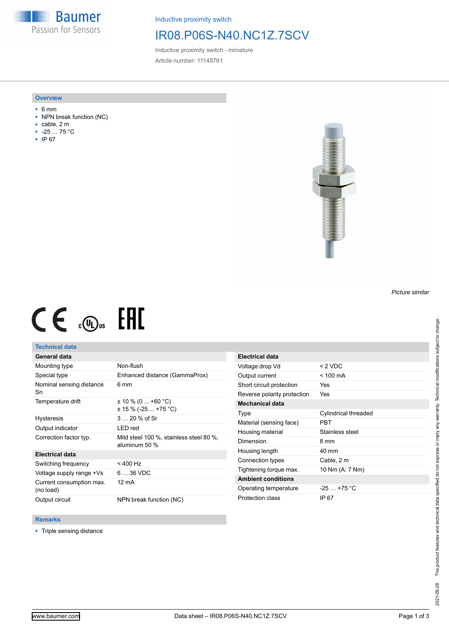**Baumer** Passion for Sensors

Inductive proximity switch

# IR08.P06S-N40.NC1Z.7SCV

Inductive proximity switch - miniature Article number: 11148761

#### **Overview**

- 6 mm
- NPN break function (NC)
- cable, 2 m
- -25 … 75 °C
- IP 67



# $CE \mathcal{L}$  ( $\mathcal{L}$  and  $SE$

### **Technical data**

## **General data**

| Mounting type                         | Non-flush                                                |
|---------------------------------------|----------------------------------------------------------|
| Special type                          | Enhanced distance (GammaProx)                            |
| Nominal sensing distance<br>Sn        | 6 mm                                                     |
| Temperature drift                     | ± 10 % (0  +60 °C)<br>$\pm$ 15 % (-25  +75 °C)           |
| <b>Hysteresis</b>                     | $320%$ of Sr                                             |
| Output indicator                      | LED red                                                  |
| Correction factor typ.                | Mild steel 100 %, stainless steel 80 %,<br>aluminum 50 % |
| <b>Electrical data</b>                |                                                          |
| Switching frequency                   | $< 400$ Hz                                               |
| Voltage supply range +Vs              | 6  36 VDC                                                |
| Current consumption max.<br>(no load) | 12 mA                                                    |
| Output circuit                        | NPN break function (NC)                                  |

| <b>Electrical data</b>      |                      |
|-----------------------------|----------------------|
| Voltage drop Vd             | $< 2$ VDC            |
| Output current              | $< 100 \text{ mA}$   |
| Short circuit protection    | Yes                  |
| Reverse polarity protection | Yes                  |
| Mechanical data             |                      |
| Type                        | Cylindrical threaded |
| Material (sensing face)     | PBT                  |
| Housing material            | Stainless steel      |
| Dimension                   | 8 mm                 |
| Housing length              | 40 mm                |
| Connection types            | Cable, 2 m           |
| Tightening torque max.      | 10 Nm (A: 7 Nm)      |
| <b>Ambient conditions</b>   |                      |
| Operating temperature       | $-25$ $+75$ °C       |
| Protection class            | IP 67                |

#### **Remarks**

■ Triple sensing distance

*Picture similar*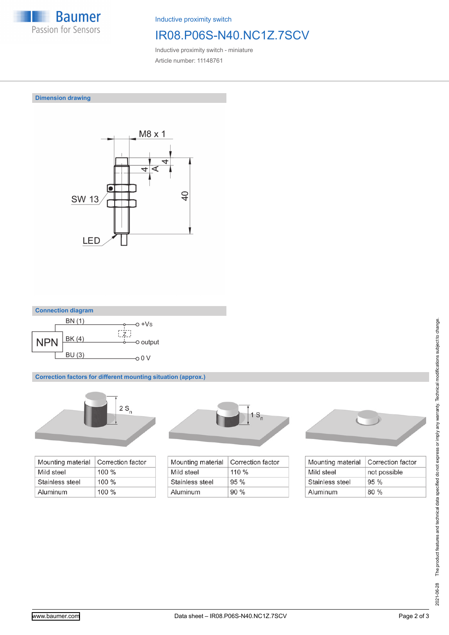

Inductive proximity switch

## IR08.P06S-N40.NC1Z.7SCV

Inductive proximity switch - miniature Article number: 11148761

**Dimension drawing**





**Correction factors for different mounting situation (approx.)**



| Mounting material | Correction factor |
|-------------------|-------------------|
| Mild steel        | $100 \%$          |
| Stainless steel   | $100 \%$          |
| Aluminum          | $100\%$           |



| Mounting material | Correction factor |
|-------------------|-------------------|
| Mild steel        | $110 \%$          |
| Stainless steel   | 95%               |
| Aluminum          | 90%               |



| Mounting material | Correction factor |
|-------------------|-------------------|
| Mild steel        | not possible      |
| Stainless steel   | 95%               |
| Aluminum          | 80%               |